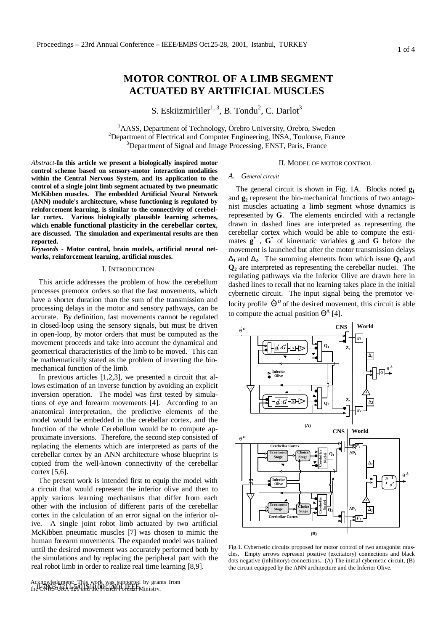# **MOTOR CONTROL OF A LIMB SEGMENT ACTUATED BY ARTIFICIAL MUSCLES**

S. Eskiizmirliler $1, 3$ , B. Tondu<sup>2</sup>, C. Darlot<sup>3</sup>

<sup>1</sup>AASS, Department of Technology, Örebro University, Örebro, Sweden <sup>2</sup>Department of Electrical and Computer Engineering, INSA, Toulouse, France <sup>3</sup>Department of Signal and Image Processing, ENST, Paris, France

*Abstract*-**In this article we present a biologically inspired motor control scheme based on sensory-motor interaction modalities within the Central Nervous System, and its application to the control of a single joint limb segment actuated by two pneumatic McKibben muscles. The embedded Artificial Neural Network (ANN) module's architecture, whose functioning is regulated by reinforcement learning, is similar to the connectivity of cerebellar cortex. Various biologically plausible learning schemes, which enable functional plasticity in the cerebellar cortex, are discussed. The simulation and experimental results are then reported.**

*Keywords -* **Motor control, brain models, artificial neural networks, reinforcement learning, artificial muscles.**

## I. INTRODUCTION

This article addresses the problem of how the cerebellum processes premotor orders so that the fast movements, which have a shorter duration than the sum of the transmission and processing delays in the motor and sensory pathways, can be accurate. By definition, fast movements cannot be regulated in closed-loop using the sensory signals, but must be driven in open-loop, by motor orders that must be computed as the movement proceeds and take into account the dynamical and geometrical characteristics of the limb to be moved. This can be mathematically stated as the problem of inverting the biomechanical function of the limb.

In previous articles [1,2,3], we presented a circuit that allows estimation of an inverse function by avoiding an explicit inversion operation. The model was first tested by simulations of eye and forearm movements [4]. According to an anatomical interpretation, the predictive elements of the model would be embedded in the cerebellar cortex, and the function of the whole Cerebellum would be to compute approximate inversions. Therefore, the second step consisted of replacing the elements which are interpreted as parts of the cerebellar cortex by an ANN architecture whose blueprint is copied from the well-known connectivity of the cerebellar cortex [5,6].

The present work is intended first to equip the model with a circuit that would represent the inferior olive and then to apply various learning mechanisms that differ from each other with the inclusion of different parts of the cerebellar cortex in the calculation of an error signal on the inferior olive. A single joint robot limb actuated by two artificial McKibben pneumatic muscles [7] was chosen to mimic the human forearm movements. The expanded model was trained until the desired movement was accurately performed both by the simulations and by replacing the peripheral part with the real robot limb in order to realize real time learning [8,9].

## II. MODEL OF MOTOR CONTROL

## *A. General circuit*

The general circuit is shown in Fig. 1A. Blocks noted **g<sup>1</sup>** and **g2** represent the bio-mechanical functions of two antagonist muscles actuating a limb segment whose dynamics is represented by **G**. The elements encircled with a rectangle drawn in dashed lines are interpreted as representing the cerebellar cortex which would be able to compute the estimates  $\mathbf{g}^*$ ,  $\mathbf{G}^*$  of kinematic variables  $\mathbf{g}$  and  $\mathbf{\hat{G}}$  before the movement is launched but after the motor transmission delays **D**<sub>1</sub> and **D**<sub>2</sub>. The summing elements from which issue  $Q_1$  and **Q2** are interpreted as representing the cerebellar nuclei. The regulating pathways via the Inferior Olive are drawn here in dashed lines to recall that no learning takes place in the initial cybernetic circuit. The input signal being the premotor velocity profile  $\dot{\Theta}^D$  of the desired movement, this circuit is able to compute the actual position  $\Theta^A$  [4].



Fig.1. Cybernetic circuits proposed for motor control of two antagonist muscles. Empty arrows represent positive (excitatory) connections and black dots negative (inhibitory) connections. (A) The initial cybernetic circuit, (B) the circuit equipped by the ANN architecture and the Inferior Olive.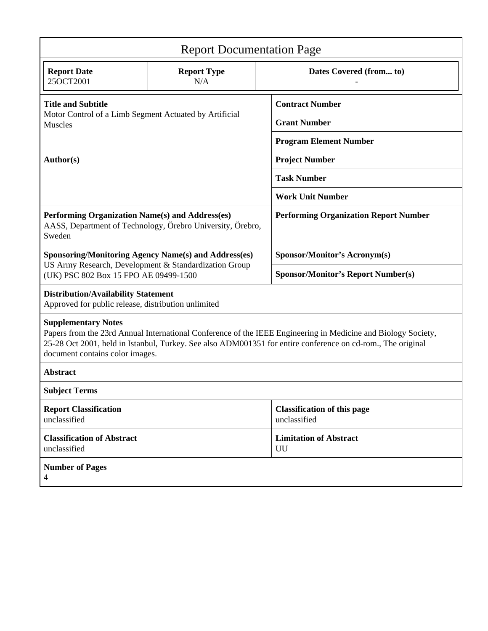| <b>Report Documentation Page</b>                                                                                                                                                                                                                                                              |                                                            |                                                    |  |  |
|-----------------------------------------------------------------------------------------------------------------------------------------------------------------------------------------------------------------------------------------------------------------------------------------------|------------------------------------------------------------|----------------------------------------------------|--|--|
| <b>Report Date</b><br>25OCT2001                                                                                                                                                                                                                                                               | <b>Report Type</b><br>N/A                                  | Dates Covered (from to)                            |  |  |
| <b>Title and Subtitle</b><br>Motor Control of a Limb Segment Actuated by Artificial<br><b>Muscles</b>                                                                                                                                                                                         |                                                            | <b>Contract Number</b>                             |  |  |
|                                                                                                                                                                                                                                                                                               |                                                            | <b>Grant Number</b>                                |  |  |
|                                                                                                                                                                                                                                                                                               |                                                            | <b>Program Element Number</b>                      |  |  |
| Author(s)                                                                                                                                                                                                                                                                                     |                                                            | <b>Project Number</b>                              |  |  |
|                                                                                                                                                                                                                                                                                               |                                                            | <b>Task Number</b>                                 |  |  |
|                                                                                                                                                                                                                                                                                               |                                                            | <b>Work Unit Number</b>                            |  |  |
| Performing Organization Name(s) and Address(es)<br>Sweden                                                                                                                                                                                                                                     | AASS, Department of Technology, Örebro University, Örebro, | <b>Performing Organization Report Number</b>       |  |  |
| <b>Sponsoring/Monitoring Agency Name(s) and Address(es)</b><br>US Army Research, Development & Standardization Group<br>(UK) PSC 802 Box 15 FPO AE 09499-1500                                                                                                                                 |                                                            | Sponsor/Monitor's Acronym(s)                       |  |  |
|                                                                                                                                                                                                                                                                                               |                                                            | <b>Sponsor/Monitor's Report Number(s)</b>          |  |  |
| <b>Distribution/Availability Statement</b><br>Approved for public release, distribution unlimited                                                                                                                                                                                             |                                                            |                                                    |  |  |
| <b>Supplementary Notes</b><br>Papers from the 23rd Annual International Conference of the IEEE Engineering in Medicine and Biology Society,<br>25-28 Oct 2001, held in Istanbul, Turkey. See also ADM001351 for entire conference on cd-rom., The original<br>document contains color images. |                                                            |                                                    |  |  |
| <b>Abstract</b>                                                                                                                                                                                                                                                                               |                                                            |                                                    |  |  |
| <b>Subject Terms</b>                                                                                                                                                                                                                                                                          |                                                            |                                                    |  |  |
| <b>Report Classification</b><br>unclassified                                                                                                                                                                                                                                                  |                                                            | <b>Classification of this page</b><br>unclassified |  |  |
| <b>Classification of Abstract</b><br>unclassified                                                                                                                                                                                                                                             |                                                            | <b>Limitation of Abstract</b><br>UU                |  |  |
| <b>Number of Pages</b><br>4                                                                                                                                                                                                                                                                   |                                                            |                                                    |  |  |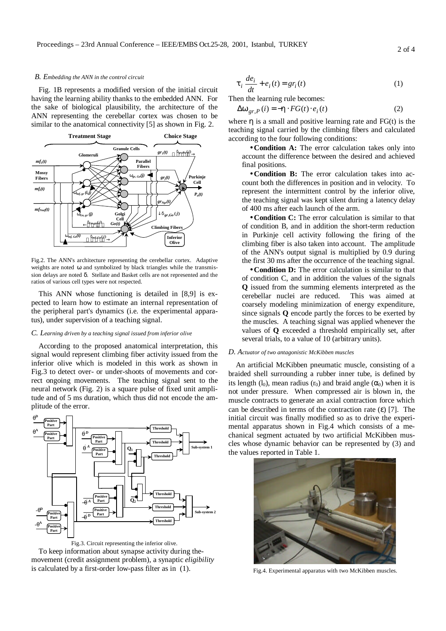### *B. Embedding the ANN in the control circuit*

Fig. 1B represents a modified version of the initial circuit having the learning ability thanks to the embedded ANN. For the sake of biological plausibility, the architecture of the ANN representing the cerebellar cortex was chosen to be similar to the anatomical connectivity [5] as shown in Fig. 2.



Fig.2. The ANN's architecture representing the cerebellar cortex. Adaptive weights are noted ω and symbolized by black triangles while the transmission delays are noted δ. Stellate and Basket cells are not represented and the ratios of various cell types were not respected.

This ANN whose functioning is detailed in [8,9] is expected to learn how to estimate an internal representation of the peripheral part's dynamics (i.e. the experimental apparatus), under supervision of a teaching signal.

## *C. Learning driven by a teaching signal issued from inferior olive*

According to the proposed anatomical interpretation, this signal would represent climbing fiber activity issued from the inferior olive which is modeled in this work as shown in Fig.3 to detect over- or under-shoots of movements and correct ongoing movements. The teaching signal sent to the neural network (Fig. 2) is a square pulse of fixed unit amplitude and of 5 ms duration, which thus did not encode the amplitude of the error.



Fig.3. Circuit representing the inferior olive. To keep information about synapse activity during themovement (credit assignment problem), a synaptic *eligibility* is calculated by a first-order low-pass filter as in (1).

$$
\boldsymbol{t}_i \frac{d\boldsymbol{e}_i}{dt} + \boldsymbol{e}_i(t) = \boldsymbol{g} \boldsymbol{r}_i(t) \tag{1}
$$

Then the learning rule becomes:

$$
\Delta \mathbf{w}_{gr,P}(i) = -\mathbf{h} \cdot FG(t) \cdot e_i(t)
$$
 (2)

where **h** is a small and positive learning rate and FG(t) is the teaching signal carried by the climbing fibers and calculated according to the four following conditions:

•**Condition A:** The error calculation takes only into account the difference between the desired and achieved final positions.

•**Condition B:** The error calculation takes into account both the differences in position and in velocity. To represent the intermittent control by the inferior olive, the teaching signal was kept silent during a latency delay of 400 ms after each launch of the arm.

•**Condition C:** The error calculation is similar to that of condition B, and in addition the short-term reduction in Purkinje cell activity following the firing of the climbing fiber is also taken into account. The amplitude of the ANN's output signal is multiplied by 0.9 during the first 30 ms after the occurrence of the teaching signal.

• **Condition D:** The error calculation is similar to that of condition C, and in addition the values of the signals **Q** issued from the summing elements interpreted as the cerebellar nuclei are reduced. This was aimed at coarsely modeling minimization of energy expenditure, since signals **Q** encode partly the forces to be exerted by the muscles. A teaching signal was applied whenever the values of **Q** exceeded a threshold empirically set, after several trials, to a value of 10 (arbitrary units).

#### *D. Actuator of two antagonistic McKibben muscles*

An artificial McKibben pneumatic muscle, consisting of a braided shell surrounding a rubber inner tube, is defined by its length (l<sub>0</sub>), mean radius (r<sub>0</sub>) and braid angle ( $\alpha$ <sub>0</sub>) when it is not under pressure. When compressed air is blown in, the muscle contracts to generate an axial contraction force which can be described in terms of the contraction rate  $(\varepsilon)$  [7]. The initial circuit was finally modified so as to drive the experimental apparatus shown in Fig.4 which consists of a mechanical segment actuated by two artificial McKibben muscles whose dynamic behavior can be represented by (3) and the values reported in Table 1.



Fig.4. Experimental apparatus with two McKibben muscles.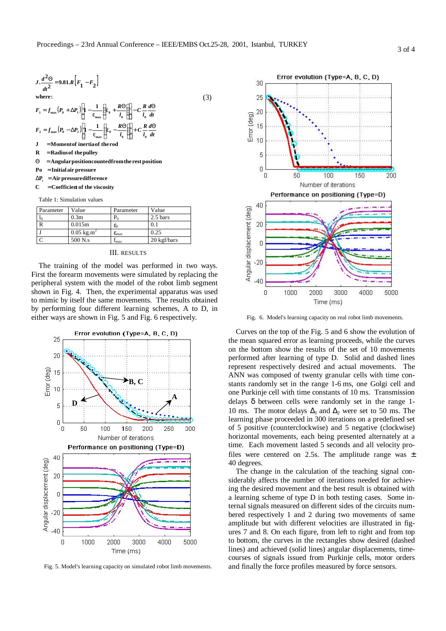

| Parameter | Value                              | Parameter            | Value              |
|-----------|------------------------------------|----------------------|--------------------|
| 10        | 0.3 <sub>m</sub>                   | $P_0$                | $2.5 \text{ bars}$ |
|           | 0.015m                             | $\varepsilon_0$      | 0.1                |
|           | $0.05 \text{ kg} \cdot \text{m}^2$ | $\epsilon_{\rm max}$ | 0.25               |
|           | 500 N.s                            | 1 <sub>max</sub>     | 20 kgf/bars        |

## III. RESULTS

The training of the model was performed in two ways. First the forearm movements were simulated by replacing the peripheral system with the model of the robot limb segment shown in Fig. 4. Then, the experimental apparatus was used to mimic by itself the same movements. The results obtained by performing four different learning schemes, A to D, in either ways are shown in Fig. 5 and Fig. 6 respectively.



Fig. 5. Model's learning capacity on simulated robot limb movements.



Fig. 6. Model's learning capacity on real robot limb movements.

Curves on the top of the Fig. 5 and 6 show the evolution of the mean squared error as learning proceeds, while the curves on the bottom show the results of the set of 10 movements performed after learning of type D. Solid and dashed lines represent respectively desired and actual movements. The ANN was composed of twenty granular cells with time constants randomly set in the range 1-6 ms, one Golgi cell and one Purkinje cell with time constants of 10 ms. Transmission delays δ between cells were randomly set in the range 1- 10 ms. The motor delays  $\Delta_1$  and  $\Delta_2$  were set to 50 ms. The learning phase proceeded in 300 iterations on a predefined set of 5 positive (counterclockwise) and 5 negative (clockwise) horizontal movements, each being presented alternately at a time. Each movement lasted 5 seconds and all velocity profiles were centered on 2.5s. The amplitude range was  $\pm$ 40 degrees.

The change in the calculation of the teaching signal considerably affects the number of iterations needed for achieving the desired movement and the best result is obtained with a learning scheme of type D in both testing cases. Some internal signals measured on different sides of the circuits numbered respectively 1 and 2 during two movements of same amplitude but with different velocities are illustrated in figures 7 and 8. On each figure, from left to right and from top to bottom, the curves in the rectangles show desired (dashed lines) and achieved (solid lines) angular displacements, timecourses of signals issued from Purkinje cells, motor orders and finally the force profiles measured by force sensors.